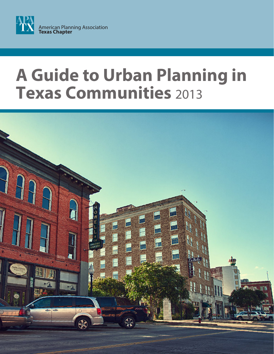

## **A Guide to Urban Planning in Texas Communities** 2013

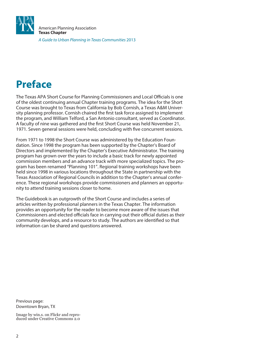

## **Preface**

The Texas APA Short Course for Planning Commissioners and Local Officials is one of the oldest continuing annual Chapter training programs. The idea for the Short Course was brought to Texas from California by Bob Cornish, a Texas A&M University planning professor. Cornish chaired the first task force assigned to implement the program, and William Telford, a San Antonio consultant, served as Coordinator. A faculty of nine was gathered and the first Short Course was held November 21, 1971. Seven general sessions were held, concluding with five concurrent sessions.

From 1971 to 1998 the Short Course was administered by the Education Foundation. Since 1998 the program has been supported by the Chapter's Board of Directors and implemented by the Chapter's Executive Administrator. The training program has grown over the years to include a basic track for newly appointed commission members and an advance track with more specialized topics. The program has been renamed "Planning 101". Regional training workshops have been held since 1998 in various locations throughout the State in partnership with the Texas Association of Regional Councils in addition to the Chapter's annual conference. These regional workshops provide commissioners and planners an opportunity to attend training sessions closer to home.

The Guidebook is an outgrowth of the Short Course and includes a series of articles written by professional planners in the Texas Chapter. The information provides an opportunity for the reader to become more aware of the issues that Commissioners and elected officials face in carrying out their official duties as their community develops, and a resource to study. The authors are identified so that information can be shared and questions answered.

Previous page: Downtown Bryan, TX

Image by win.s. on Flickr and reproduced under Creative Commons 2.0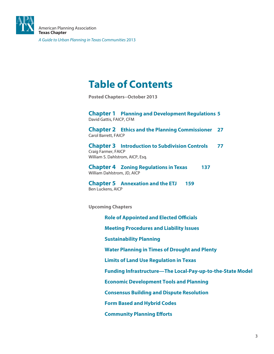

## **Table of Contents**

**Posted Chapters--October 2013**

**Chapter 1 Planning and Development Regulations 5** David Gattis, FAICP, CFM

**Chapter 2 Ethics and the Planning Commissioner 27** Carol Barrett, FAICP

**Chapter 3 Introduction to Subdivision Controls 77** Craig Farmer, FAICP William S. Dahlstrom, AICP, Esq.

**Chapter 4 Zoning Regulations in Texas 137** William Dahlstrom, JD, AICP

**Chapter 5 Annexation and the ETJ 159** Ben Luckens, AICP

**Upcoming Chapters**

**Role of Appointed and Elected Officials Meeting Procedures and Liability Issues Sustainability Planning Water Planning in Times of Drought and Plenty Limits of Land Use Regulation in Texas Funding Infrastructure—The Local-Pay-up-to-the-State Model Economic Development Tools and Planning Consensus Building and Dispute Resolution Form Based and Hybrid Codes Community Planning Efforts**